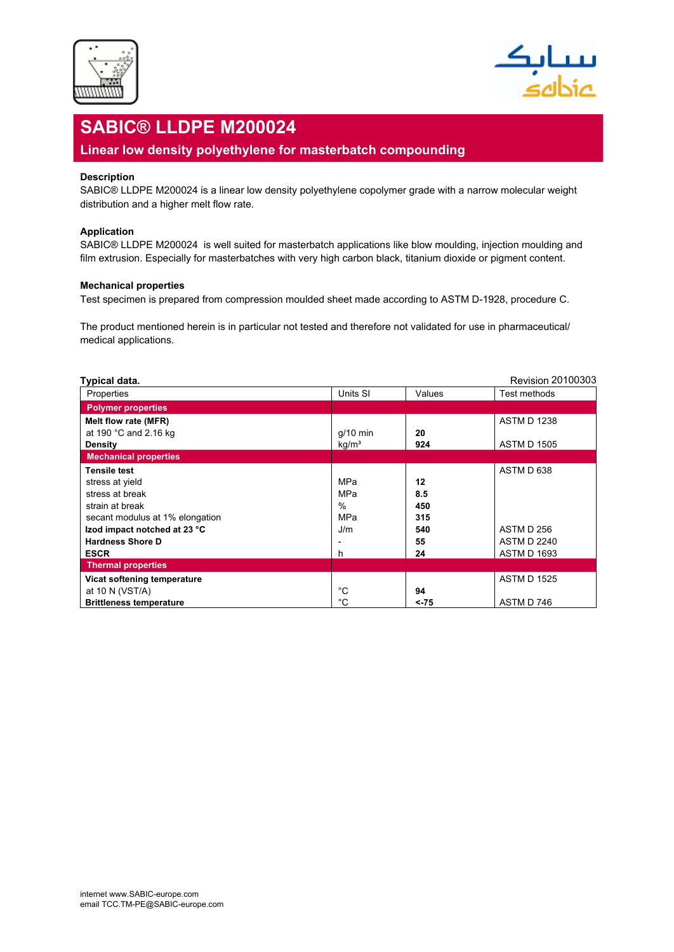



# **SABIC® LLDPE M200024**

## **Linear low density polyethylene for masterbatch compounding**

### **Description**

SABIC® LLDPE M200024 is a linear low density polyethylene copolymer grade with a narrow molecular weight distribution and a higher melt flow rate.

#### **Application**

SABIC® LLDPE M200024 is well suited for masterbatch applications like blow moulding, injection moulding and film extrusion. Especially for masterbatches with very high carbon black, titanium dioxide or pigment content.

#### **Mechanical properties**

Test specimen is prepared from compression moulded sheet made according to ASTM D-1928, procedure C.

The product mentioned herein is in particular not tested and therefore not validated for use in pharmaceutical/ medical applications.

| Typical data.                   |                   |        | Revision 20100303  |
|---------------------------------|-------------------|--------|--------------------|
| Properties                      | Units SI          | Values | Test methods       |
| <b>Polymer properties</b>       |                   |        |                    |
| Melt flow rate (MFR)            |                   |        | <b>ASTM D 1238</b> |
| at 190 °C and 2.16 kg           | $q/10$ min        | 20     |                    |
| <b>Density</b>                  | kg/m <sup>3</sup> | 924    | <b>ASTM D 1505</b> |
| <b>Mechanical properties</b>    |                   |        |                    |
| Tensile test                    |                   |        | ASTM D 638         |
| stress at yield                 | <b>MPa</b>        | 12     |                    |
| stress at break                 | <b>MPa</b>        | 8.5    |                    |
| strain at break                 | $\%$              | 450    |                    |
| secant modulus at 1% elongation | <b>MPa</b>        | 315    |                    |
| Izod impact notched at 23 °C    | J/m               | 540    | ASTM D 256         |
| <b>Hardness Shore D</b>         |                   | 55     | <b>ASTM D 2240</b> |
| <b>ESCR</b>                     | h                 | 24     | <b>ASTM D 1693</b> |
| <b>Thermal properties</b>       |                   |        |                    |
| Vicat softening temperature     |                   |        | <b>ASTM D 1525</b> |
| at 10 N (VST/A)                 | °C                | 94     |                    |
| <b>Brittleness temperature</b>  | °C                | <-75   | ASTM D 746         |